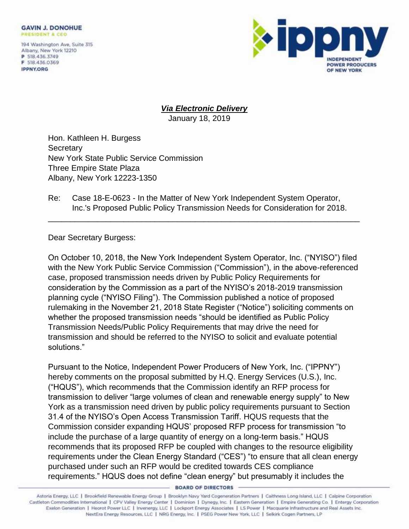194 Washington Ave, Suite 315 Albany, New York 12210 P 518.436.3749 F 518,436,0369 **IPPNY.ORG** 



## *Via Electronic Delivery*

January 18, 2019

Hon. Kathleen H. Burgess **Secretary** New York State Public Service Commission Three Empire State Plaza Albany, New York 12223-1350

## Re: Case 18-E-0623 - In the Matter of New York Independent System Operator, Inc.'s Proposed Public Policy Transmission Needs for Consideration for 2018.

\_\_\_\_\_\_\_\_\_\_\_\_\_\_\_\_\_\_\_\_\_\_\_\_\_\_\_\_\_\_\_\_\_\_\_\_\_\_\_\_\_\_\_\_\_\_\_\_\_\_\_\_\_\_\_\_\_\_\_\_\_\_\_\_\_\_\_\_\_\_

Dear Secretary Burgess:

On October 10, 2018, the New York Independent System Operator, Inc. ("NYISO") filed with the New York Public Service Commission ("Commission"), in the above-referenced case, proposed transmission needs driven by Public Policy Requirements for consideration by the Commission as a part of the NYISO's 2018-2019 transmission planning cycle ("NYISO Filing"). The Commission published a notice of proposed rulemaking in the November 21, 2018 State Register ("Notice") soliciting comments on whether the proposed transmission needs "should be identified as Public Policy Transmission Needs/Public Policy Requirements that may drive the need for transmission and should be referred to the NYISO to solicit and evaluate potential solutions."

Pursuant to the Notice, Independent Power Producers of New York, Inc. ("IPPNY") hereby comments on the proposal submitted by H.Q. Energy Services (U.S.), Inc. ("HQUS"), which recommends that the Commission identify an RFP process for transmission to deliver "large volumes of clean and renewable energy supply" to New York as a transmission need driven by public policy requirements pursuant to Section 31.4 of the NYISO's Open Access Transmission Tariff. HQUS requests that the Commission consider expanding HQUS' proposed RFP process for transmission "to include the purchase of a large quantity of energy on a long-term basis." HQUS recommends that its proposed RFP be coupled with changes to the resource eligibility requirements under the Clean Energy Standard ("CES") "to ensure that all clean energy purchased under such an RFP would be credited towards CES compliance requirements." HQUS does not define "clean energy" but presumably it includes the

**BOARD OF DIRECTORS** 

Astoria Energy, LLC | Brookfield Renewable Energy Group | Brooklyn Navy Yard Cogeneration Partners | Caithness Long Island, LLC | Calpine Corporation Castleton Commodities International | CPV Valley Energy Center | Dominion | Dynegy, Inc. | Eastern Generation | Empire Generating Co. | Entergy Corporation Exelon Generation | Heorot Power LLC | Invenergy, LLC | Lockport Energy Associates | LS Power | Macquarie Infrastructure and Real Assets Inc. NextEra Energy Resources, LLC | NRG Energy, Inc. | PSEG Power New York, LLC | Selkirk Cogen Partners, LP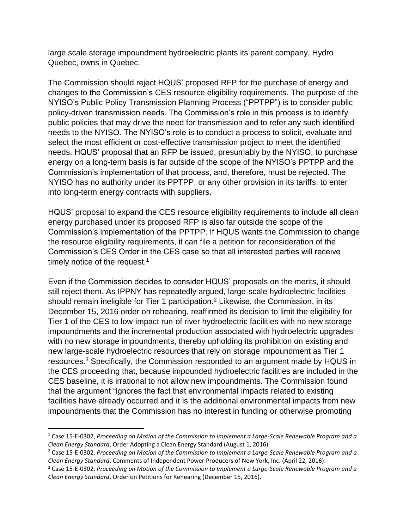large scale storage impoundment hydroelectric plants its parent company, Hydro Quebec, owns in Quebec.

The Commission should reject HQUS' proposed RFP for the purchase of energy and changes to the Commission's CES resource eligibility requirements. The purpose of the NYISO's Public Policy Transmission Planning Process ("PPTPP") is to consider public policy-driven transmission needs. The Commission's role in this process is to identify public policies that may drive the need for transmission and to refer any such identified needs to the NYISO. The NYISO's role is to conduct a process to solicit, evaluate and select the most efficient or cost-effective transmission project to meet the identified needs. HQUS' proposal that an RFP be issued, presumably by the NYISO, to purchase energy on a long-term basis is far outside of the scope of the NYISO's PPTPP and the Commission's implementation of that process, and, therefore, must be rejected. The NYISO has no authority under its PPTPP, or any other provision in its tariffs, to enter into long-term energy contracts with suppliers.

HQUS' proposal to expand the CES resource eligibility requirements to include all clean energy purchased under its proposed RFP is also far outside the scope of the Commission's implementation of the PPTPP. If HQUS wants the Commission to change the resource eligibility requirements, it can file a petition for reconsideration of the Commission's CES Order in the CES case so that all interested parties will receive timely notice of the request.<sup>1</sup>

Even if the Commission decides to consider HQUS' proposals on the merits, it should still reject them. As IPPNY has repeatedly argued, large-scale hydroelectric facilities should remain ineligible for Tier 1 participation.<sup>2</sup> Likewise, the Commission, in its December 15, 2016 order on rehearing, reaffirmed its decision to limit the eligibility for Tier 1 of the CES to low-impact run-of river hydroelectric facilities with no new storage impoundments and the incremental production associated with hydroelectric upgrades with no new storage impoundments, thereby upholding its prohibition on existing and new large-scale hydroelectric resources that rely on storage impoundment as Tier 1 resources.<sup>3</sup> Specifically, the Commission responded to an argument made by HQUS in the CES proceeding that, because impounded hydroelectric facilities are included in the CES baseline, it is irrational to not allow new impoundments. The Commission found that the argument "ignores the fact that environmental impacts related to existing facilities have already occurred and it is the additional environmental impacts from new impoundments that the Commission has no interest in funding or otherwise promoting

l

<sup>1</sup> Case 15-E-0302, *Proceeding on Motion of the Commission to Implement a Large-Scale Renewable Program and a Clean Energy Standard*, Order Adopting a Clean Energy Standard (August 1, 2016).

<sup>2</sup> Case 15-E-0302, *Proceeding on Motion of the Commission to Implement a Large-Scale Renewable Program and a Clean Energy Standard*, Comments of Independent Power Producers of New York, Inc. (April 22, 2016).

<sup>3</sup> Case 15-E-0302, *Proceeding on Motion of the Commission to Implement a Large-Scale Renewable Program and a Clean Energy Standard*, Order on Petitions for Rehearing (December 15, 2016).